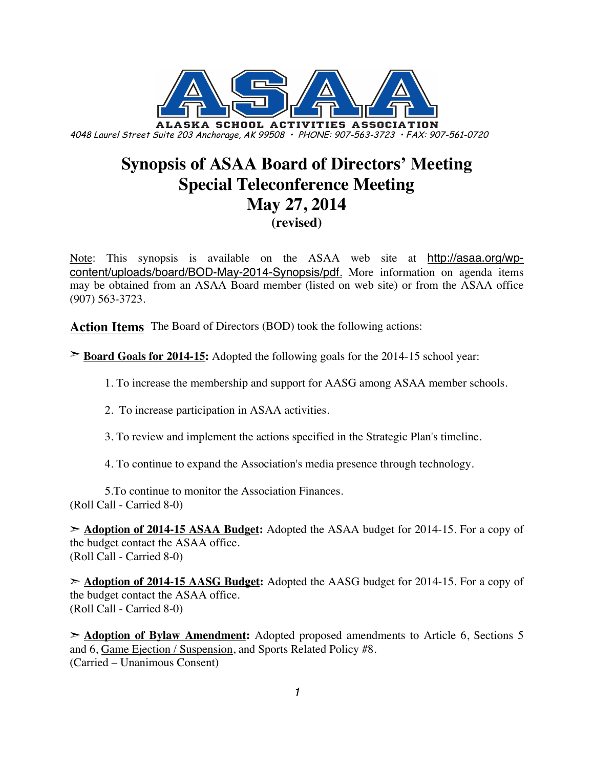

# **Synopsis of ASAA Board of Directors' Meeting Special Teleconference Meeting May 27, 2014 (revised)**

Note: This synopsis is available on the ASAA web site at http://asaa.org/wpcontent/uploads/board/BOD-May-2014-Synopsis/pdf. More information on agenda items may be obtained from an ASAA Board member (listed on web site) or from the ASAA office (907) 563-3723.

**Action Items** The Board of Directors (BOD) took the following actions:

➣ **Board Goals for 2014-15:** Adopted the following goals for the 2014-15 school year:

1. To increase the membership and support for AASG among ASAA member schools.

2. To increase participation in ASAA activities.

3. To review and implement the actions specified in the Strategic Plan's timeline.

4. To continue to expand the Association's media presence through technology.

5.To continue to monitor the Association Finances. (Roll Call - Carried 8-0)

➣ **Adoption of 2014-15 ASAA Budget:** Adopted the ASAA budget for 2014-15. For a copy of the budget contact the ASAA office. (Roll Call - Carried 8-0)

➣ **Adoption of 2014-15 AASG Budget:** Adopted the AASG budget for 2014-15. For a copy of the budget contact the ASAA office. (Roll Call - Carried 8-0)

➣ **Adoption of Bylaw Amendment:** Adopted proposed amendments to Article 6, Sections 5 and 6, Game Ejection / Suspension, and Sports Related Policy #8. (Carried – Unanimous Consent)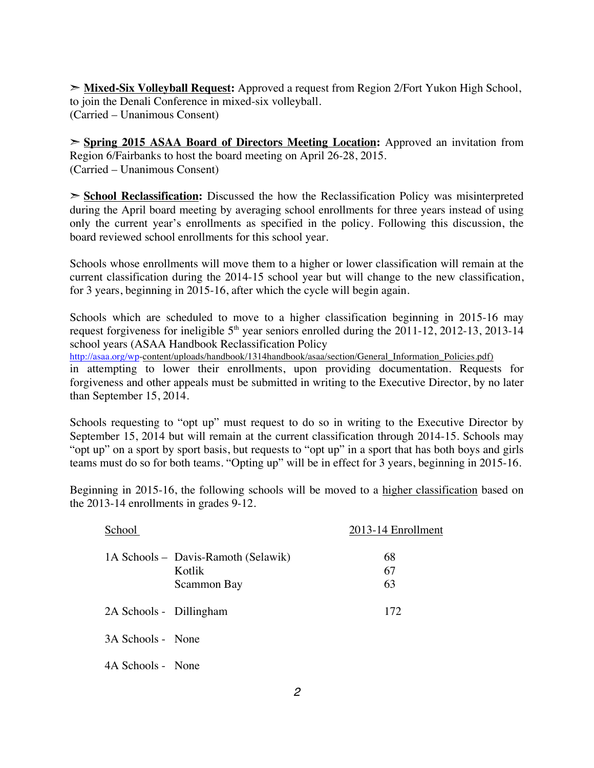➣ **Mixed-Six Volleyball Request:** Approved a request from Region 2/Fort Yukon High School, to join the Denali Conference in mixed-six volleyball. (Carried – Unanimous Consent)

➣ **Spring 2015 ASAA Board of Directors Meeting Location:** Approved an invitation from Region 6/Fairbanks to host the board meeting on April 26-28, 2015. (Carried – Unanimous Consent)

➣ **School Reclassification:** Discussed the how the Reclassification Policy was misinterpreted during the April board meeting by averaging school enrollments for three years instead of using only the current year's enrollments as specified in the policy. Following this discussion, the board reviewed school enrollments for this school year.

Schools whose enrollments will move them to a higher or lower classification will remain at the current classification during the 2014-15 school year but will change to the new classification, for 3 years, beginning in 2015-16, after which the cycle will begin again.

Schools which are scheduled to move to a higher classification beginning in 2015-16 may request forgiveness for ineligible  $5<sup>th</sup>$  year seniors enrolled during the 2011-12, 2012-13, 2013-14 school years (ASAA Handbook Reclassification Policy

http://asaa.org/wp-content/uploads/handbook/1314handbook/asaa/section/General\_Information\_Policies.pdf)

in attempting to lower their enrollments, upon providing documentation. Requests for forgiveness and other appeals must be submitted in writing to the Executive Director, by no later than September 15, 2014.

Schools requesting to "opt up" must request to do so in writing to the Executive Director by September 15, 2014 but will remain at the current classification through 2014-15. Schools may "opt up" on a sport by sport basis, but requests to "opt up" in a sport that has both boys and girls teams must do so for both teams. "Opting up" will be in effect for 3 years, beginning in 2015-16.

Beginning in 2015-16, the following schools will be moved to a higher classification based on the 2013-14 enrollments in grades 9-12.

| School                                                       | 2013-14 Enrollment |
|--------------------------------------------------------------|--------------------|
| 1A Schools – Davis-Ramoth (Selawik)<br>Kotlik<br>Scammon Bay | 68<br>67<br>63     |
| 2A Schools - Dillingham                                      | 172                |
| 3A Schools - None                                            |                    |
| 4A Schools - None                                            |                    |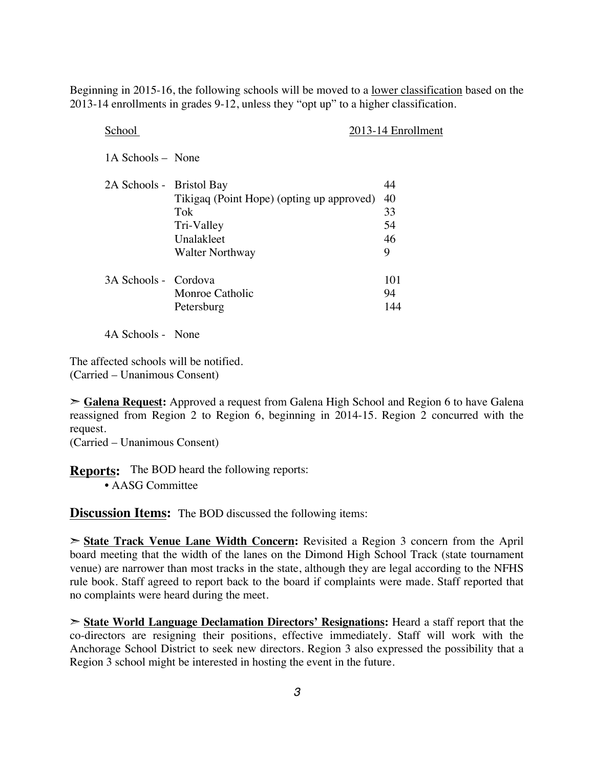Beginning in 2015-16, the following schools will be moved to a lower classification based on the 2013-14 enrollments in grades 9-12, unless they "opt up" to a higher classification.

| 2013-14 Enrollment                              |
|-------------------------------------------------|
|                                                 |
| 44                                              |
| 40<br>Tikigaq (Point Hope) (opting up approved) |
| 33                                              |
| 54                                              |
| 46                                              |
| 9                                               |
| 101                                             |
| 94                                              |
| 144                                             |
|                                                 |

4A Schools - None

The affected schools will be notified. (Carried – Unanimous Consent)

➣ **Galena Request:** Approved a request from Galena High School and Region 6 to have Galena reassigned from Region 2 to Region 6, beginning in 2014-15. Region 2 concurred with the request.

(Carried – Unanimous Consent)

**Reports:** The BOD heard the following reports:

• AASG Committee

**Discussion Items:** The BOD discussed the following items:

➣ **State Track Venue Lane Width Concern:** Revisited a Region 3 concern from the April board meeting that the width of the lanes on the Dimond High School Track (state tournament venue) are narrower than most tracks in the state, although they are legal according to the NFHS rule book. Staff agreed to report back to the board if complaints were made. Staff reported that no complaints were heard during the meet.

➣ **State World Language Declamation Directors' Resignations:** Heard a staff report that the co-directors are resigning their positions, effective immediately. Staff will work with the Anchorage School District to seek new directors. Region 3 also expressed the possibility that a Region 3 school might be interested in hosting the event in the future.